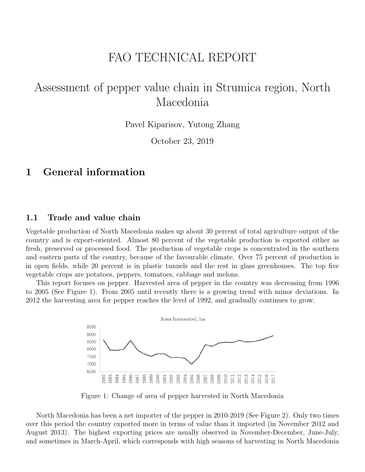# FAO TECHNICAL REPORT

# Assessment of pepper value chain in Strumica region, North Macedonia

Pavel Kiparisov, Yutong Zhang

October 23, 2019

## 1 General information

#### 1.1 Trade and value chain

Vegetable production of North Macedonia makes up about 30 percent of total agriculture output of the country and is export-oriented. Almost 80 percent of the vegetable production is exported either as fresh, preserved or processed food. The production of vegetable crops is concentrated in the southern and eastern parts of the country, because of the favourable climate. Over 75 percent of production is in open fields, while 20 percent is in plastic tunnels and the rest in glass greenhouses. The top five vegetable crops are potatoes, peppers, tomatoes, cabbage and melons.

This report focuses on pepper. Harvested area of pepper in the country was decreasing from 1996 to 2005 (See Figure 1). From 2005 until recently there is a growing trend with minor deviations. In 2012 the harvesting area for pepper reaches the level of 1992, and gradually continues to grow.



Figure 1: Change of area of pepper harvested in North Macedonia

North Macedonia has been a net importer of the pepper in 2010-2019 (See Figure 2). Only two times over this period the country exported more in terms of value than it imported (in November 2012 and August 2013). The highest exporting prices are usually observed in November-December, June-July, and sometimes in March-April, which corresponds with high seasons of harvesting in North Macedonia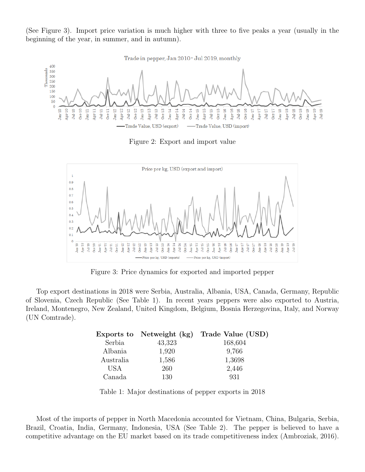(See Figure 3). Import price variation is much higher with three to five peaks a year (usually in the beginning of the year, in summer, and in autumn).



Figure 2: Export and import value



Figure 3: Price dynamics for exported and imported pepper

Top export destinations in 2018 were Serbia, Australia, Albania, USA, Canada, Germany, Republic of Slovenia, Czech Republic (See Table 1). In recent years peppers were also exported to Austria, Ireland, Montenegro, New Zealand, United Kingdom, Belgium, Bosnia Herzegovina, Italy, and Norway (UN Comtrade).

|            | Exports to Netweight (kg) | Trade Value (USD) |
|------------|---------------------------|-------------------|
| Serbia     | 43,323                    | 168,604           |
| Albania    | 1,920                     | 9,766             |
| Australia  | 1,586                     | 1,3698            |
| <b>USA</b> | 260                       | 2,446             |
| Canada     | 130                       | 931               |

Table 1: Major destinations of pepper exports in 2018

Most of the imports of pepper in North Macedonia accounted for Vietnam, China, Bulgaria, Serbia, Brazil, Croatia, India, Germany, Indonesia, USA (See Table 2). The pepper is believed to have a competitive advantage on the EU market based on its trade competitiveness index (Ambroziak, 2016).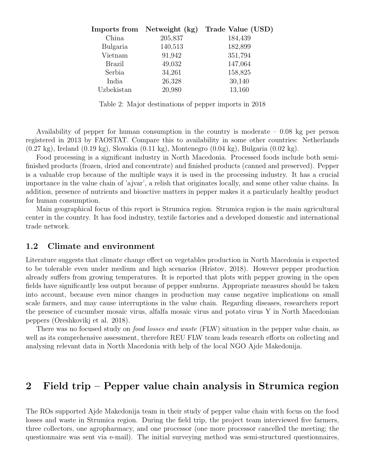| Imports from Netweight (kg) | Trade Value (USD) |
|-----------------------------|-------------------|
| 205,837                     | 184,439           |
| 140,513                     | 182,899           |
| 91,942                      | 351,794           |
| 49,032                      | 147,064           |
| 34,261                      | 158,825           |
| 26,328                      | 30,140            |
| 20,980                      | 13,160            |
|                             |                   |

Table 2: Major destinations of pepper imports in 2018

Availability of pepper for human consumption in the country is moderate – 0.08 kg per person registered in 2013 by FAOSTAT. Compare this to availability in some other countries: Netherlands (0.27 kg), Ireland (0.19 kg), Slovakia (0.11 kg), Montenegro (0.04 kg), Bulgaria (0.02 kg).

Food processing is a significant industry in North Macedonia. Processed foods include both semifinished products (frozen, dried and concentrate) and finished products (canned and preserved). Pepper is a valuable crop because of the multiple ways it is used in the processing industry. It has a crucial importance in the value chain of 'ajvar', a relish that originates locally, and some other value chains. In addition, presence of nutrients and bioactive matters in pepper makes it a particularly healthy product for human consumption.

Main geographical focus of this report is Strumica region. Strumica region is the main agricultural center in the country. It has food industry, textile factories and a developed domestic and international trade network.

#### 1.2 Climate and environment

Literature suggests that climate change effect on vegetables production in North Macedonia is expected to be tolerable even under medium and high scenarios (Hristov, 2018). However pepper production already suffers from growing temperatures. It is reported that plots with pepper growing in the open fields have significantly less output because of pepper sunburns. Appropriate measures should be taken into account, because even minor changes in production may cause negative implications on small scale farmers, and may cause interruptions in the value chain. Regarding diseases, researchers report the presence of cucumber mosaic virus, alfalfa mosaic virus and potato virus Y in North Macedonian peppers (Oreshkovikj et al. 2018).

There was no focused study on *food losses and waste* (FLW) situation in the pepper value chain, as well as its comprehensive assessment, therefore REU FLW team leads research efforts on collecting and analysing relevant data in North Macedonia with help of the local NGO Ajde Makedonija.

## 2 Field trip – Pepper value chain analysis in Strumica region

The ROs supported Ajde Makedonija team in their study of pepper value chain with focus on the food losses and waste in Strumica region. During the field trip, the project team interviewed five farmers, three collectors, one agropharmacy, and one processor (one more processor cancelled the meeting; the questionnaire was sent via e-mail). The initial surveying method was semi-structured questionnaires,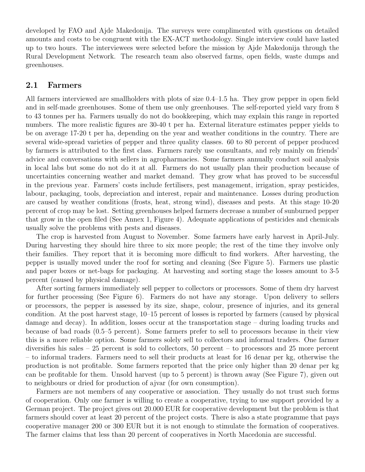developed by FAO and Ajde Makedonija. The surveys were complimented with questions on detailed amounts and costs to be congruent with the EX-ACT methodology. Single interview could have lasted up to two hours. The interviewees were selected before the mission by Ajde Makedonija through the Rural Development Network. The research team also observed farms, open fields, waste dumps and greenhouses.

#### 2.1 Farmers

All farmers interviewed are smallholders with plots of size 0.4–1.5 ha. They grow pepper in open field and in self-made greenhouses. Some of them use only greenhouses. The self-reported yield vary from 8 to 43 tonnes per ha. Farmers usually do not do bookkeeping, which may explain this range in reported numbers. The more realistic figures are 30-40 t per ha. External literature estimates pepper yields to be on average 17-20 t per ha, depending on the year and weather conditions in the country. There are several wide-spread varieties of pepper and three quality classes. 60 to 80 percent of pepper produced by farmers is attributed to the first class. Farmers rarely use consultants, and rely mainly on friends' advice and conversations with sellers in agropharmacies. Some farmers annually conduct soil analysis in local labs but some do not do it at all. Farmers do not usually plan their production because of uncertainties concerning weather and market demand. They grow what has proved to be successful in the previous year. Farmers' costs include fertilisers, pest management, irrigation, spray pesticides, labour, packaging, tools, depreciation and interest, repair and maintenance. Losses during production are caused by weather conditions (frosts, heat, strong wind), diseases and pests. At this stage 10-20 percent of crop may be lost. Setting greenhouses helped farmers decrease a number of sunburned pepper that grow in the open filed (See Annex 1, Figure 4). Adequate applications of pesticides and chemicals usually solve the problems with pests and diseases.

The crop is harvested from August to November. Some farmers have early harvest in April-July. During harvesting they should hire three to six more people; the rest of the time they involve only their families. They report that it is becoming more difficult to find workers. After harvesting, the pepper is usually moved under the roof for sorting and cleaning (See Figure 5). Farmers use plastic and paper boxes or net-bags for packaging. At harvesting and sorting stage the losses amount to 3-5 percent (caused by physical damage).

After sorting farmers immediately sell pepper to collectors or processors. Some of them dry harvest for further processing (See Figure 6). Farmers do not have any storage. Upon delivery to sellers or processors, the pepper is assessed by its size, shape, colour, presence of injuries, and its general condition. At the post harvest stage, 10–15 percent of losses is reported by farmers (caused by physical damage and decay). In addition, losses occur at the transportation stage – during loading trucks and because of bad roads (0.5–5 percent). Some farmers prefer to sell to processors because in their view this is a more reliable option. Some farmers solely sell to collectors and informal traders. One farmer diversifies his sales – 25 percent is sold to collectors, 50 percent – to processors and 25 more percent – to informal traders. Farmers need to sell their products at least for 16 denar per kg, otherwise the production is not profitable. Some farmers reported that the price only higher than 20 denar per kg can be profitable for them. Unsold harvest (up to 5 percent) is thrown away (See Figure 7), given out to neighbours or dried for production of ajvar (for own consumption).

Farmers are not members of any cooperative or association. They usually do not trust such forms of cooperation. Only one farmer is willing to create a cooperative, trying to use support provided by a German project. The project gives out 20.000 EUR for cooperative development but the problem is that farmers should cover at least 20 percent of the project costs. There is also a state programme that pays cooperative manager 200 or 300 EUR but it is not enough to stimulate the formation of cooperatives. The farmer claims that less than 20 percent of cooperatives in North Macedonia are successful.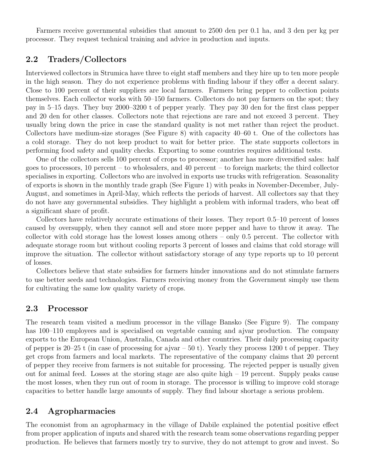Farmers receive governmental subsidies that amount to 2500 den per 0.1 ha, and 3 den per kg per processor. They request technical training and advice in production and inputs.

### 2.2 Traders/Collectors

Interviewed collectors in Strumica have three to eight staff members and they hire up to ten more people in the high season. They do not experience problems with finding labour if they offer a decent salary. Close to 100 percent of their suppliers are local farmers. Farmers bring pepper to collection points themselves. Each collector works with 50–150 farmers. Collectors do not pay farmers on the spot; they pay in 5–15 days. They buy 2000–3200 t of pepper yearly. They pay 30 den for the first class pepper and 20 den for other classes. Collectors note that rejections are rare and not exceed 3 percent. They usually bring down the price in case the standard quality is not met rather than reject the product. Collectors have medium-size storages (See Figure 8) with capacity 40–60 t. One of the collectors has a cold storage. They do not keep product to wait for better price. The state supports collectors in performing food safety and quality checks. Exporting to some countries requires additional tests.

One of the collectors sells 100 percent of crops to processor; another has more diversified sales: half goes to processors, 10 percent – to wholesalers, and 40 percent – to foreign markets; the third collector specialises in exporting. Collectors who are involved in exports use trucks with refrigeration. Seasonality of exports is shown in the monthly trade graph (See Figure 1) with peaks in November-December, July-August, and sometimes in April-May, which reflects the periods of harvest. All collectors say that they do not have any governmental subsidies. They highlight a problem with informal traders, who beat off a significant share of profit.

Collectors have relatively accurate estimations of their losses. They report 0.5–10 percent of losses caused by oversupply, when they cannot sell and store more pepper and have to throw it away. The collector with cold storage has the lowest losses among others – only 0.5 percent. The collector with adequate storage room but without cooling reports 3 percent of losses and claims that cold storage will improve the situation. The collector without satisfactory storage of any type reports up to 10 percent of losses.

Collectors believe that state subsidies for farmers hinder innovations and do not stimulate farmers to use better seeds and technologies. Farmers receiving money from the Government simply use them for cultivating the same low quality variety of crops.

#### 2.3 Processor

The research team visited a medium processor in the village Bansko (See Figure 9). The company has 100–110 employees and is specialised on vegetable canning and ajvar production. The company exports to the European Union, Australia, Canada and other countries. Their daily processing capacity of pepper is 20–25 t (in case of processing for ajvar – 50 t). Yearly they process 1200 t of pepper. They get crops from farmers and local markets. The representative of the company claims that 20 percent of pepper they receive from farmers is not suitable for processing. The rejected pepper is usually given out for animal feed. Losses at the storing stage are also quite high  $-19$  percent. Supply peaks cause the most losses, when they run out of room in storage. The processor is willing to improve cold storage capacities to better handle large amounts of supply. They find labour shortage a serious problem.

#### 2.4 Agropharmacies

The economist from an agropharmacy in the village of Dabile explained the potential positive effect from proper application of inputs and shared with the research team some observations regarding pepper production. He believes that farmers mostly try to survive, they do not attempt to grow and invest. So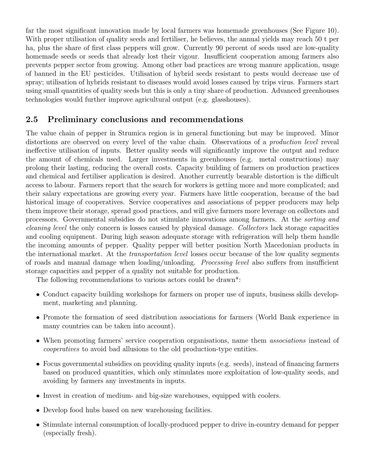far the most significant innovation made by local farmers was homemade greenhouses (See Figure 10). With proper utilisation of quality seeds and fertiliser, he believes, the annual yields may reach 50 t per ha, plus the share of first class peppers will grow. Currently 90 percent of seeds used are low-quality homemade seeds or seeds that already lost their vigour. Insufficient cooperation among farmers also prevents pepper sector from growing. Among other bad practices are wrong manure application, usage of banned in the EU pesticides. Utilisation of hybrid seeds resistant to pests would decrease use of spray; utilisation of hybrids resistant to diseases would avoid losses caused by trips virus. Farmers start using small quantities of quality seeds but this is only a tiny share of production. Advanced greenhouses technologies would further improve agricultural output (e.g. glasshouses).

### 2.5 Preliminary conclusions and recommendations

The value chain of pepper in Strumica region is in general functioning but may be improved. Minor distortions are observed on every level of the value chain. Observations of a *production level* reveal ineffective utilisation of inputs. Better quality seeds will significantly improve the output and reduce the amount of chemicals used. Larger investments in greenhouses (e.g. metal constructions) may prolong their lasting, reducing the overall costs. Capacity building of farmers on production practices and chemical and fertiliser application is desired. Another currently bearable distortion is the difficult access to labour. Farmers report that the search for workers is getting more and more complicated; and their salary expectations are growing every year. Farmers have little cooperation, because of the bad historical image of cooperatives. Service cooperatives and associations of pepper producers may help them improve their storage, spread good practices, and will give farmers more leverage on collectors and processors. Governmental subsidies do not stimulate innovations among farmers. At the sorting and cleaning level the only concern is losses caused by physical damage. Collectors lack storage capacities and cooling equipment. During high season adequate storage with refrigeration will help them handle the incoming amounts of pepper. Quality pepper will better position North Macedonian products in the international market. At the transportation level losses occur because of the low quality segments of roads and manual damage when loading/unloading. Processing level also suffers from insufficient storage capacities and pepper of a quality not suitable for production.

The following recommendations to various actors could be drawn\*:

- Conduct capacity building workshops for farmers on proper use of inputs, business skills development, marketing and planning.
- Promote the formation of seed distribution associations for farmers (World Bank experience in many countries can be taken into account).
- When promoting farmers' service cooperation organisations, name them *associations* instead of cooperatives to avoid bad allusions to the old production-type entities.
- Focus governmental subsidies on providing quality inputs (e.g. seeds), instead of financing farmers based on produced quantities, which only stimulates more exploitation of low-quality seeds, and avoiding by farmers any investments in inputs.
- Invest in creation of medium- and big-size warehouses, equipped with coolers.
- Develop food hubs based on new warehousing facilities.
- Stimulate internal consumption of locally-produced pepper to drive in-country demand for pepper (especially fresh).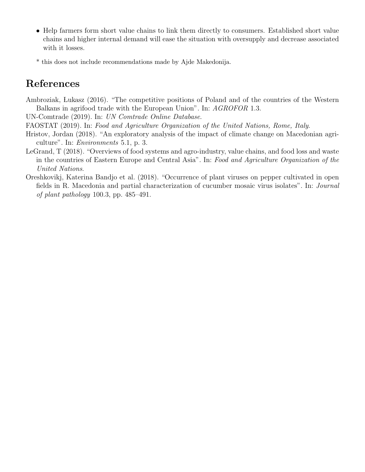- Help farmers form short value chains to link them directly to consumers. Established short value chains and higher internal demand will ease the situation with oversupply and decrease associated with it losses.
- \* this does not include recommendations made by Ajde Makedonija.

## References

Ambroziak, Lukasz (2016). "The competitive positions of Poland and of the countries of the Western Balkans in agrifood trade with the European Union". In: AGROFOR 1.3.

UN-Comtrade (2019). In: UN Comtrade Online Database.

- FAOSTAT (2019). In: Food and Agriculture Organization of the United Nations, Rome, Italy.
- Hristov, Jordan (2018). "An exploratory analysis of the impact of climate change on Macedonian agriculture". In: Environments 5.1, p. 3.
- LeGrand, T (2018). "Overviews of food systems and agro-industry, value chains, and food loss and waste in the countries of Eastern Europe and Central Asia". In: Food and Agriculture Organization of the United Nations.
- Oreshkovikj, Katerina Bandjo et al. (2018). "Occurrence of plant viruses on pepper cultivated in open fields in R. Macedonia and partial characterization of cucumber mosaic virus isolates". In: Journal of plant pathology 100.3, pp. 485–491.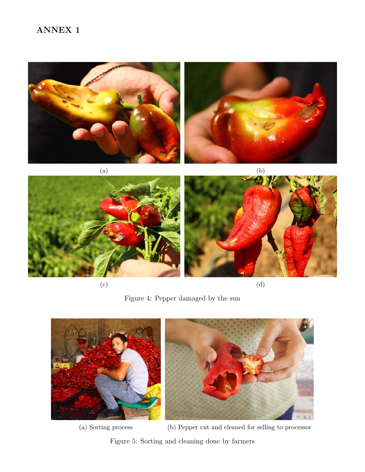## ANNEX 1



 $\qquad \qquad \textbf{(c)}\qquad \qquad \textbf{(d)}$ 

Figure 4: Pepper damaged by the sun



(a) Sorting process (b) Pepper cut and cleaned for selling to processor

Figure 5: Sorting and cleaning done by farmers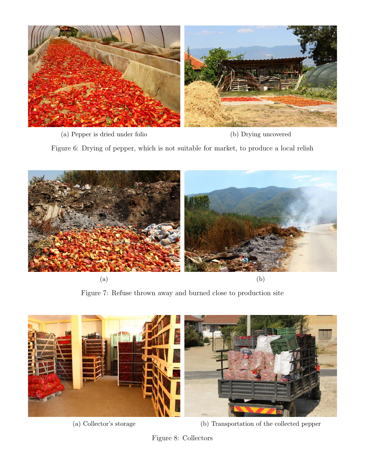

(a) Pepper is dried under folio (b) Drying uncovered

Figure 6: Drying of pepper, which is not suitable for market, to produce a local relish



Figure 7: Refuse thrown away and burned close to production site



(a) Collector's storage (b) Transportation of the collected pepper

Figure 8: Collectors